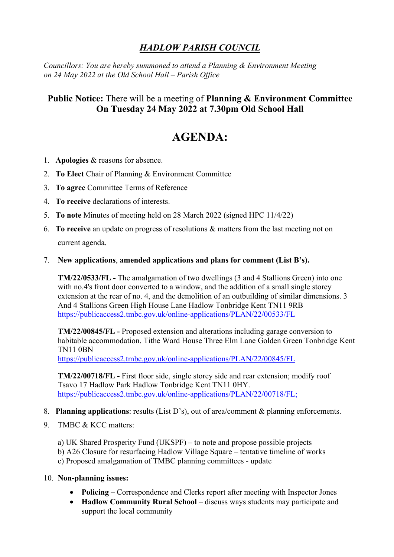## *HADLOW PARISH COUNCIL*

*Councillors: You are hereby summoned to attend a Planning & Environment Meeting on 24 May 2022 at the Old School Hall – Parish Office*

## **Public Notice:** There will be a meeting of **Planning & Environment Committee On Tuesday 24 May 2022 at 7.30pm Old School Hall**

## **AGENDA:**

- 1. **Apologies** & reasons for absence.
- 2. **To Elect** Chair of Planning & Environment Committee
- 3. **To agree** Committee Terms of Reference
- 4. **To receive** declarations of interests.
- 5. **To note** Minutes of meeting held on 28 March 2022 (signed HPC 11/4/22)
- 6. **To receive** an update on progress of resolutions & matters from the last meeting not on current agenda.
- 7. **New applications**, **amended applications and plans for comment (List B's).**

**TM/22/0533/FL -** The amalgamation of two dwellings (3 and 4 Stallions Green) into one with no.4's front door converted to a window, and the addition of a small single storey extension at the rear of no. 4, and the demolition of an outbuilding of similar dimensions. 3 And 4 Stallions Green High House Lane Hadlow Tonbridge Kent TN11 9RB <https://publicaccess2.tmbc.gov.uk/online-applications/PLAN/22/00533/FL>

**TM/22/00845/FL -** Proposed extension and alterations including garage conversion to habitable accommodation. Tithe Ward House Three Elm Lane Golden Green Tonbridge Kent TN11 0BN

<https://publicaccess2.tmbc.gov.uk/online-applications/PLAN/22/00845/FL>

**TM/22/00718/FL -** First floor side, single storey side and rear extension; modify roof Tsavo 17 Hadlow Park Hadlow Tonbridge Kent TN11 0HY. [https://publicaccess2.tmbc.gov.uk/online-applications/PLAN/22/00718/FL;](https://publicaccess2.tmbc.gov.uk/online-applications/PLAN/22/00718/FL)

- 8. **Planning applications**: results (List D's), out of area/comment & planning enforcements.
- 9. TMBC & KCC matters:

a) UK Shared Prosperity Fund (UKSPF) – to note and propose possible projects

- b) A26 Closure for resurfacing Hadlow Village Square tentative timeline of works
- c) Proposed amalgamation of TMBC planning committees update
- 10. **Non-planning issues:**
	- **Policing** Correspondence and Clerks report after meeting with Inspector Jones
	- **Hadlow Community Rural School** discuss ways students may participate and support the local community